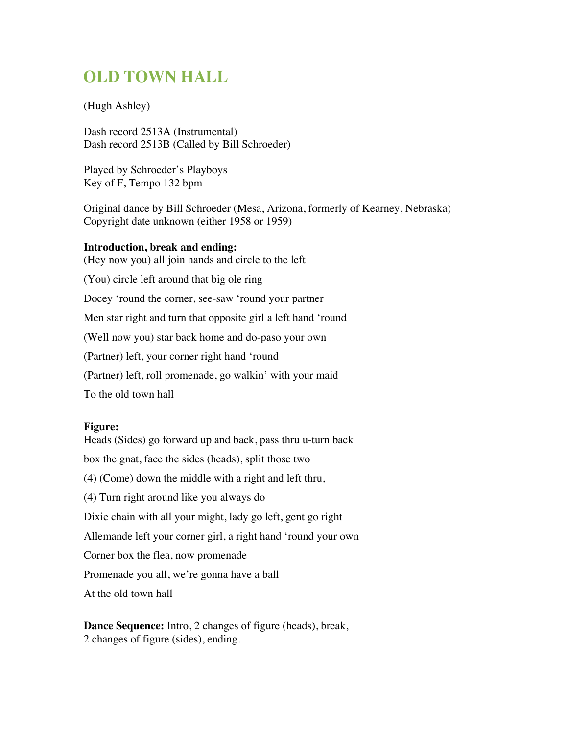## **OLD TOWN HALL**

## (Hugh Ashley)

Dash record 2513A (Instrumental) Dash record 2513B (Called by Bill Schroeder)

Played by Schroeder's Playboys Key of F, Tempo 132 bpm

Original dance by Bill Schroeder (Mesa, Arizona, formerly of Kearney, Nebraska) Copyright date unknown (either 1958 or 1959)

## **Introduction, break and ending:**

(Hey now you) all join hands and circle to the left

(You) circle left around that big ole ring

Docey 'round the corner, see-saw 'round your partner

Men star right and turn that opposite girl a left hand 'round

(Well now you) star back home and do-paso your own

(Partner) left, your corner right hand 'round

(Partner) left, roll promenade, go walkin' with your maid

To the old town hall

## **Figure:**

Heads (Sides) go forward up and back, pass thru u-turn back box the gnat, face the sides (heads), split those two (4) (Come) down the middle with a right and left thru, (4) Turn right around like you always do Dixie chain with all your might, lady go left, gent go right Allemande left your corner girl, a right hand 'round your own Corner box the flea, now promenade Promenade you all, we're gonna have a ball At the old town hall

**Dance Sequence:** Intro, 2 changes of figure (heads), break, 2 changes of figure (sides), ending.